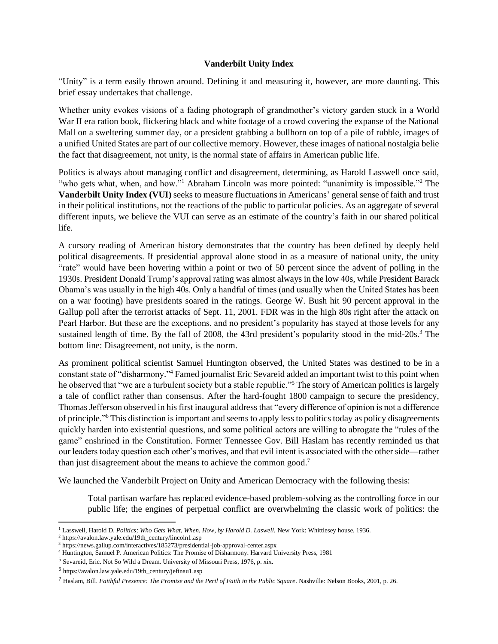## **Vanderbilt Unity Index**

"Unity" is a term easily thrown around. Defining it and measuring it, however, are more daunting. This brief essay undertakes that challenge.

Whether unity evokes visions of a fading photograph of grandmother's victory garden stuck in a World War II era ration book, flickering black and white footage of a crowd covering the expanse of the National Mall on a sweltering summer day, or a president grabbing a bullhorn on top of a pile of rubble, images of a unified United States are part of our collective memory. However, these images of national nostalgia belie the fact that disagreement, not unity, is the normal state of affairs in American public life.

Politics is always about managing conflict and disagreement, determining, as Harold Lasswell once said, "who gets what, when, and how."<sup>1</sup> Abraham Lincoln was more pointed: "unanimity is impossible."<sup>2</sup> The **Vanderbilt Unity Index (VUI)** seeks to measure fluctuations in Americans' general sense of faith and trust in their political institutions, not the reactions of the public to particular policies. As an aggregate of several different inputs, we believe the VUI can serve as an estimate of the country's faith in our shared political life.

A cursory reading of American history demonstrates that the country has been defined by deeply held political disagreements. If presidential approval alone stood in as a measure of national unity, the unity "rate" would have been hovering within a point or two of 50 percent since the advent of polling in the 1930s. President Donald Trump's approval rating was almost always in the low 40s, while President Barack Obama's was usually in the high 40s. Only a handful of times (and usually when the United States has been on a war footing) have presidents soared in the ratings. George W. Bush hit 90 percent approval in the Gallup poll after the terrorist attacks of Sept. 11, 2001. FDR was in the high 80s right after the attack on Pearl Harbor. But these are the exceptions, and no president's popularity has stayed at those levels for any sustained length of time. By the fall of 2008, the 43rd president's popularity stood in the mid-20s.<sup>3</sup> The bottom line: Disagreement, not unity, is the norm.

As prominent political scientist Samuel Huntington observed, the United States was destined to be in a constant state of "disharmony." <sup>4</sup> Famed journalist Eric Sevareid added an important twist to this point when he observed that "we are a turbulent society but a stable republic."<sup>5</sup> The story of American politics is largely a tale of conflict rather than consensus. After the hard-fought 1800 campaign to secure the presidency, Thomas Jefferson observed in his first inaugural address that "every difference of opinion is not a difference of principle." <sup>6</sup> This distinction is important and seems to apply less to politics today as policy disagreements quickly harden into existential questions, and some political actors are willing to abrogate the "rules of the game" enshrined in the Constitution. Former Tennessee Gov. Bill Haslam has recently reminded us that our leaders today question each other's motives, and that evil intent is associated with the other side—rather than just disagreement about the means to achieve the common good.<sup>7</sup>

We launched the Vanderbilt Project on Unity and American Democracy with the following thesis:

Total partisan warfare has replaced evidence-based problem-solving as the controlling force in our public life; the engines of perpetual conflict are overwhelming the classic work of politics: the

<sup>&</sup>lt;sup>1</sup> Lasswell, Harold D. *Politics; Who Gets What, When, How, by Harold D. Laswell.* New York: Whittlesey house, 1936.

<sup>2</sup> https://avalon.law.yale.edu/19th\_century/lincoln1.asp

<sup>3</sup> https://news.gallup.com/interactives/185273/presidential-job-approval-center.aspx

<sup>4</sup> Huntington, Samuel P. American Politics: The Promise of Disharmony. Harvard University Press, 1981

<sup>&</sup>lt;sup>5</sup> Sevareid, Eric. Not So Wild a Dream. University of Missouri Press, 1976, p. xix.

<sup>&</sup>lt;sup>6</sup> https://avalon.law.yale.edu/19th\_century/jefinau1.asp

<sup>7</sup> Haslam, Bill. *Faithful Presence: The Promise and the Peril of Faith in the Public Square*. Nashville: Nelson Books, 2001, p. 26.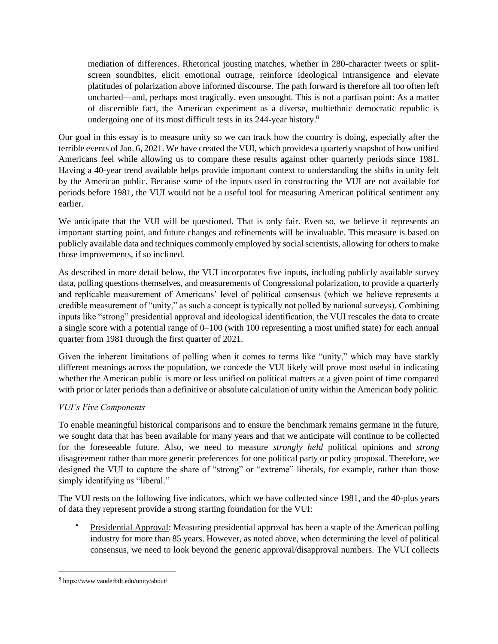mediation of differences. Rhetorical jousting matches, whether in 280-character tweets or splitscreen soundbites, elicit emotional outrage, reinforce ideological intransigence and elevate platitudes of polarization above informed discourse. The path forward is therefore all too often left uncharted—and, perhaps most tragically, even unsought. This is not a partisan point: As a matter of discernible fact, the American experiment as a diverse, multiethnic democratic republic is undergoing one of its most difficult tests in its 244-year history.<sup>8</sup>

Our goal in this essay is to measure unity so we can track how the country is doing, especially after the terrible events of Jan. 6, 2021. We have created the VUI, which provides a quarterly snapshot of how unified Americans feel while allowing us to compare these results against other quarterly periods since 1981. Having a 40-year trend available helps provide important context to understanding the shifts in unity felt by the American public. Because some of the inputs used in constructing the VUI are not available for periods before 1981, the VUI would not be a useful tool for measuring American political sentiment any earlier.

We anticipate that the VUI will be questioned. That is only fair. Even so, we believe it represents an important starting point, and future changes and refinements will be invaluable. This measure is based on publicly available data and techniques commonly employed by social scientists, allowing for others to make those improvements, if so inclined.

As described in more detail below, the VUI incorporates five inputs, including publicly available survey data, polling questions themselves, and measurements of Congressional polarization, to provide a quarterly and replicable measurement of Americans' level of political consensus (which we believe represents a credible measurement of "unity," as such a concept is typically not polled by national surveys). Combining inputs like "strong" presidential approval and ideological identification, the VUI rescales the data to create a single score with a potential range of 0–100 (with 100 representing a most unified state) for each annual quarter from 1981 through the first quarter of 2021.

Given the inherent limitations of polling when it comes to terms like "unity," which may have starkly different meanings across the population, we concede the VUI likely will prove most useful in indicating whether the American public is more or less unified on political matters at a given point of time compared with prior or later periods than a definitive or absolute calculation of unity within the American body politic.

## *VUI's Five Components*

To enable meaningful historical comparisons and to ensure the benchmark remains germane in the future, we sought data that has been available for many years and that we anticipate will continue to be collected for the foreseeable future. Also, we need to measure *strongly held* political opinions and *strong*  disagreement rather than more generic preferences for one political party or policy proposal. Therefore, we designed the VUI to capture the share of "strong" or "extreme" liberals, for example, rather than those simply identifying as "liberal."

The VUI rests on the following five indicators, which we have collected since 1981, and the 40-plus years of data they represent provide a strong starting foundation for the VUI:

Presidential Approval: Measuring presidential approval has been a staple of the American polling industry for more than 85 years. However, as noted above, when determining the level of political consensus, we need to look beyond the generic approval/disapproval numbers. The VUI collects

<sup>8</sup> https://www.vanderbilt.edu/unity/about/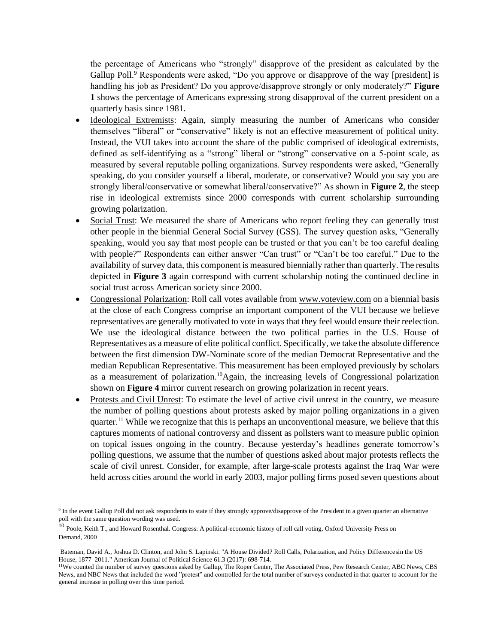the percentage of Americans who "strongly" disapprove of the president as calculated by the Gallup Poll.<sup>9</sup> Respondents were asked, "Do you approve or disapprove of the way [president] is handling his job as President? Do you approve/disapprove strongly or only moderately?" **Figure 1** shows the percentage of Americans expressing strong disapproval of the current president on a quarterly basis since 1981.

- Ideological Extremists: Again, simply measuring the number of Americans who consider themselves "liberal" or "conservative" likely is not an effective measurement of political unity. Instead, the VUI takes into account the share of the public comprised of ideological extremists, defined as self-identifying as a "strong" liberal or "strong" conservative on a 5-point scale, as measured by several reputable polling organizations. Survey respondents were asked, "Generally speaking, do you consider yourself a liberal, moderate, or conservative? Would you say you are strongly liberal/conservative or somewhat liberal/conservative?" As shown in **Figure 2**, the steep rise in ideological extremists since 2000 corresponds with current scholarship surrounding growing polarization.
- Social Trust: We measured the share of Americans who report feeling they can generally trust other people in the biennial General Social Survey (GSS). The survey question asks, "Generally speaking, would you say that most people can be trusted or that you can't be too careful dealing with people?" Respondents can either answer "Can trust" or "Can't be too careful." Due to the availability of survey data, this component is measured biennially rather than quarterly. The results depicted in **Figure 3** again correspond with current scholarship noting the continued decline in social trust across American society since 2000.
- Congressional Polarization: Roll call votes available fro[m www.voteview.com](http://www.voteview.com/) on a biennial basis at the close of each Congress comprise an important component of the VUI because we believe representatives are generally motivated to vote in ways that they feel would ensure their reelection. We use the ideological distance between the two political parties in the U.S. House of Representatives as a measure of elite political conflict. Specifically, we take the absolute difference between the first dimension DW-Nominate score of the median Democrat Representative and the median Republican Representative. This measurement has been employed previously by scholars as a measurement of polarization.<sup>10</sup>Again, the increasing levels of Congressional polarization shown on **Figure 4** mirror current research on growing polarization in recent years.
- Protests and Civil Unrest: To estimate the level of active civil unrest in the country, we measure the number of polling questions about protests asked by major polling organizations in a given quarter.<sup>11</sup> While we recognize that this is perhaps an unconventional measure, we believe that this captures moments of national controversy and dissent as pollsters want to measure public opinion on topical issues ongoing in the country. Because yesterday's headlines generate tomorrow's polling questions, we assume that the number of questions asked about major protests reflects the scale of civil unrest. Consider, for example, after large-scale protests against the Iraq War were held across cities around the world in early 2003, major polling firms posed seven questions about

<sup>&</sup>lt;sup>9</sup> In the event Gallup Poll did not ask respondents to state if they strongly approve/disapprove of the President in a given quarter an alternative poll with the same question wording was used.

<sup>10</sup> Poole, Keith T., and Howard Rosenthal. Congress: A political-economic history of roll call voting. Oxford University Press on Demand, 2000

Bateman, David A., Joshua D. Clinton, and John S. Lapinski. "A House Divided? Roll Calls, Polarization, and Policy Differencesin the US House, 1877–2011." American Journal of Political Science 61.3 (2017): 698-714.

<sup>11</sup>We counted the number of survey questions asked by Gallup, The Roper Center, The Associated Press, Pew Research Center, ABC News, CBS News, and NBC News that included the word "protest" and controlled for the total number of surveys conducted in that quarter to account for the general increase in polling over this time period.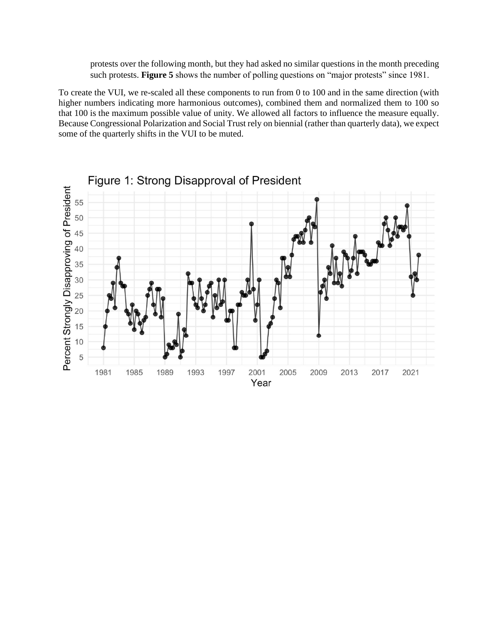protests over the following month, but they had asked no similar questions in the month preceding such protests. **Figure 5** shows the number of polling questions on "major protests" since 1981.

To create the VUI, we re-scaled all these components to run from 0 to 100 and in the same direction (with higher numbers indicating more harmonious outcomes), combined them and normalized them to 100 so that 100 is the maximum possible value of unity. We allowed all factors to influence the measure equally. Because Congressional Polarization and Social Trust rely on biennial (rather than quarterly data), we expect some of the quarterly shifts in the VUI to be muted.

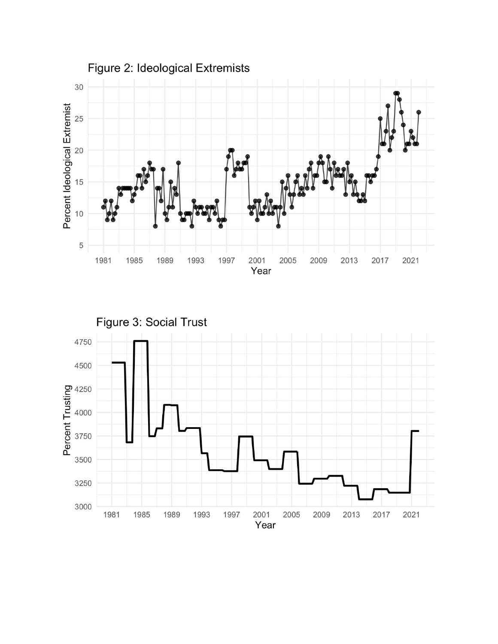

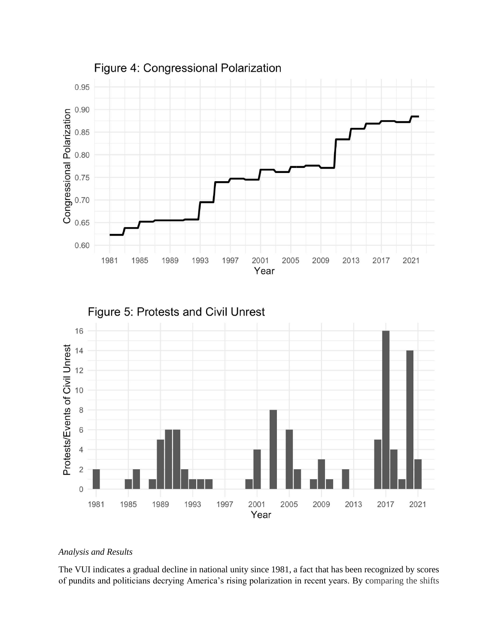

## *Analysis and Results*

The VUI indicates a gradual decline in national unity since 1981, a fact that has been recognized by scores of pundits and politicians decrying America's rising polarization in recent years. By comparing the shifts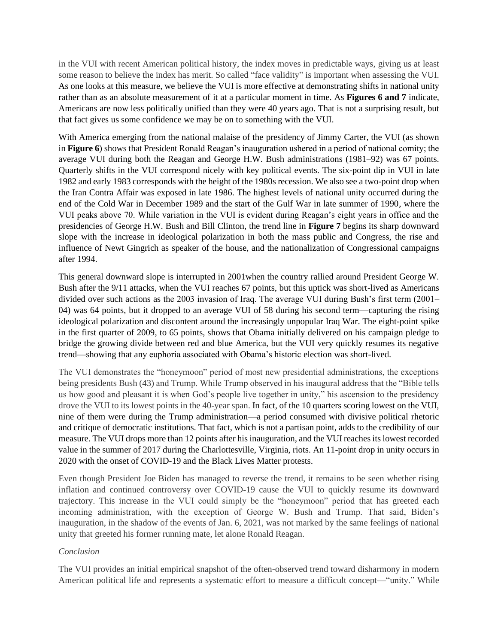in the VUI with recent American political history, the index moves in predictable ways, giving us at least some reason to believe the index has merit. So called "face validity" is important when assessing the VUI. As one looks at this measure, we believe the VUI is more effective at demonstrating shifts in national unity rather than as an absolute measurement of it at a particular moment in time. As **Figures 6 and 7** indicate, Americans are now less politically unified than they were 40 years ago. That is not a surprising result, but that fact gives us some confidence we may be on to something with the VUI.

With America emerging from the national malaise of the presidency of Jimmy Carter, the VUI (as shown in **Figure 6**) shows that President Ronald Reagan's inauguration ushered in a period of national comity; the average VUI during both the Reagan and George H.W. Bush administrations (1981–92) was 67 points. Quarterly shifts in the VUI correspond nicely with key political events. The six-point dip in VUI in late 1982 and early 1983 corresponds with the height of the 1980s recession. We also see a two-point drop when the Iran Contra Affair was exposed in late 1986. The highest levels of national unity occurred during the end of the Cold War in December 1989 and the start of the Gulf War in late summer of 1990, where the VUI peaks above 70. While variation in the VUI is evident during Reagan's eight years in office and the presidencies of George H.W. Bush and Bill Clinton, the trend line in **Figure 7** begins its sharp downward slope with the increase in ideological polarization in both the mass public and Congress, the rise and influence of Newt Gingrich as speaker of the house, and the nationalization of Congressional campaigns after 1994.

This general downward slope is interrupted in 2001when the country rallied around President George W. Bush after the 9/11 attacks, when the VUI reaches 67 points, but this uptick was short-lived as Americans divided over such actions as the 2003 invasion of Iraq. The average VUI during Bush's first term (2001– 04) was 64 points, but it dropped to an average VUI of 58 during his second term—capturing the rising ideological polarization and discontent around the increasingly unpopular Iraq War. The eight-point spike in the first quarter of 2009, to 65 points, shows that Obama initially delivered on his campaign pledge to bridge the growing divide between red and blue America, but the VUI very quickly resumes its negative trend—showing that any euphoria associated with Obama's historic election was short-lived.

The VUI demonstrates the "honeymoon" period of most new presidential administrations, the exceptions being presidents Bush (43) and Trump. While Trump observed in his inaugural address that the "Bible tells us how good and pleasant it is when God's people live together in unity," his ascension to the presidency drove the VUI to its lowest points in the 40-year span. In fact, of the 10 quarters scoring lowest on the VUI, nine of them were during the Trump administration—a period consumed with divisive political rhetoric and critique of democratic institutions. That fact, which is not a partisan point, adds to the credibility of our measure. The VUI drops more than 12 points after his inauguration, and the VUI reaches its lowest recorded value in the summer of 2017 during the Charlottesville, Virginia, riots. An 11-point drop in unity occurs in 2020 with the onset of COVID-19 and the Black Lives Matter protests.

Even though President Joe Biden has managed to reverse the trend, it remains to be seen whether rising inflation and continued controversy over COVID-19 cause the VUI to quickly resume its downward trajectory. This increase in the VUI could simply be the "honeymoon" period that has greeted each incoming administration, with the exception of George W. Bush and Trump. That said, Biden's inauguration, in the shadow of the events of Jan. 6, 2021, was not marked by the same feelings of national unity that greeted his former running mate, let alone Ronald Reagan.

## *Conclusion*

The VUI provides an initial empirical snapshot of the often-observed trend toward disharmony in modern American political life and represents a systematic effort to measure a difficult concept—"unity." While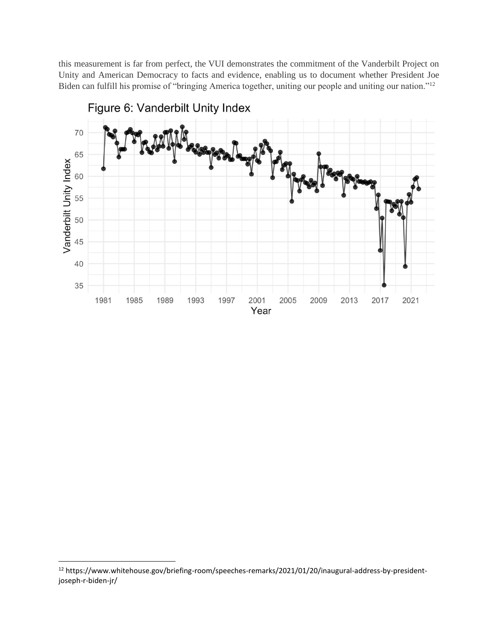this measurement is far from perfect, the VUI demonstrates the commitment of the Vanderbilt Project on Unity and American Democracy to facts and evidence, enabling us to document whether President Joe Biden can fulfill his promise of "bringing America together, uniting our people and uniting our nation."<sup>12</sup>



Figure 6: Vanderbilt Unity Index

<sup>12</sup> https://www.whitehouse.gov/briefing-room/speeches-remarks/2021/01/20/inaugural-address-by-presidentjoseph-r-biden-jr/